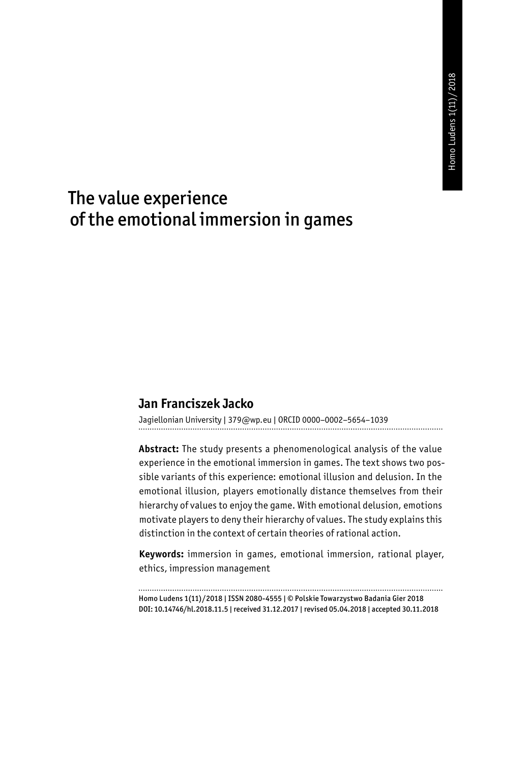# The value experience of the emotional immersion in games

#### **Jan Franciszek Jacko**

Jagiellonian University | 379@wp.eu | ORCID 0000–0002–5654–1039

**Abstract:** The study presents a phenomenological analysis of the value experience in the emotional immersion in games. The text shows two possible variants of this experience: emotional illusion and delusion. In the emotional illusion, players emotionally distance themselves from their hierarchy of values to enjoy the game. With emotional delusion, emotions motivate players to deny their hierarchy of values. The study explains this distinction in the context of certain theories of rational action.

**Keywords:** immersion in games, emotional immersion, rational player, ethics, impression management

Homo Ludens 1(11)/2018 | ISSN 2080-4555 | © Polskie Towarzystwo Badania Gier 2018 DOI: 10.14746/hl.2018.11.5 | received 31.12.2017 | revised 05.04.2018 | accepted 30.11.2018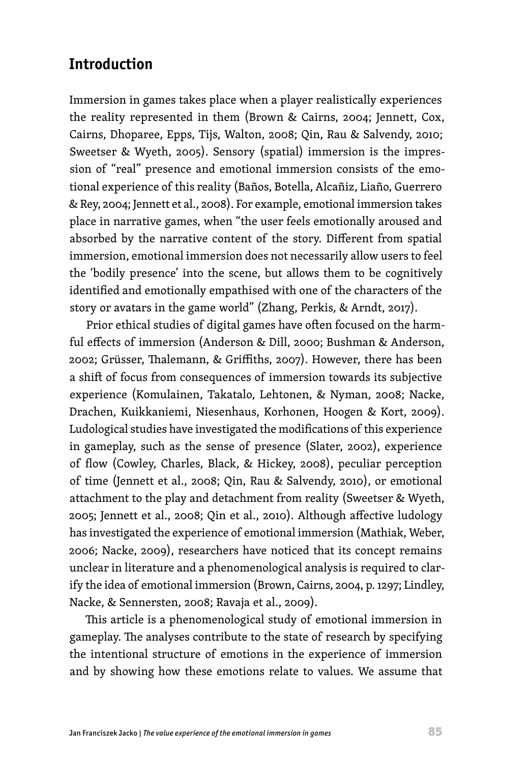# **Introduction**

Immersion in games takes place when a player realistically experiences the reality represented in them (Brown & Cairns, 2004; Jennett, Cox, Cairns, Dhoparee, Epps, Tijs, Walton, 2008; Qin, Rau & Salvendy, 2010; Sweetser & Wyeth, 2005). Sensory (spatial) immersion is the impression of "real" presence and emotional immersion consists of the emotional experience of this reality (Baños, Botella, Alcañiz, Liaño, Guerrero & Rey, 2004; Jennett et al., 2008). For example, emotional immersion takes place in narrative games, when "the user feels emotionally aroused and absorbed by the narrative content of the story. Different from spatial immersion, emotional immersion does not necessarily allow users to feel the 'bodily presence' into the scene, but allows them to be cognitively identified and emotionally empathised with one of the characters of the story or avatars in the game world" (Zhang, Perkis, & Arndt, 2017).

Prior ethical studies of digital games have often focused on the harmful effects of immersion (Anderson & Dill, 2000; Bushman & Anderson, 2002; Grüsser, Thalemann, & Griffiths, 2007). However, there has been a shift of focus from consequences of immersion towards its subjective experience (Komulainen, Takatalo, Lehtonen, & Nyman, 2008; Nacke, Drachen, Kuikkaniemi, Niesenhaus, Korhonen, Hoogen & Kort, 2009). Ludological studies have investigated the modifications of this experience in gameplay, such as the sense of presence (Slater, 2002), experience of flow (Cowley, Charles, Black, & Hickey, 2008), peculiar perception of time (Jennett et al., 2008; Qin, Rau & Salvendy, 2010), or emotional attachment to the play and detachment from reality (Sweetser & Wyeth, 2005; Jennett et al., 2008; Qin et al., 2010). Although affective ludology has investigated the experience of emotional immersion (Mathiak, Weber, 2006; Nacke, 2009), researchers have noticed that its concept remains unclear in literature and a phenomenological analysis is required to clarify the idea of emotional immersion (Brown, Cairns, 2004, p. 1297; Lindley, Nacke, & Sennersten, 2008; Ravaja et al., 2009).

This article is a phenomenological study of emotional immersion in gameplay. The analyses contribute to the state of research by specifying the intentional structure of emotions in the experience of immersion and by showing how these emotions relate to values. We assume that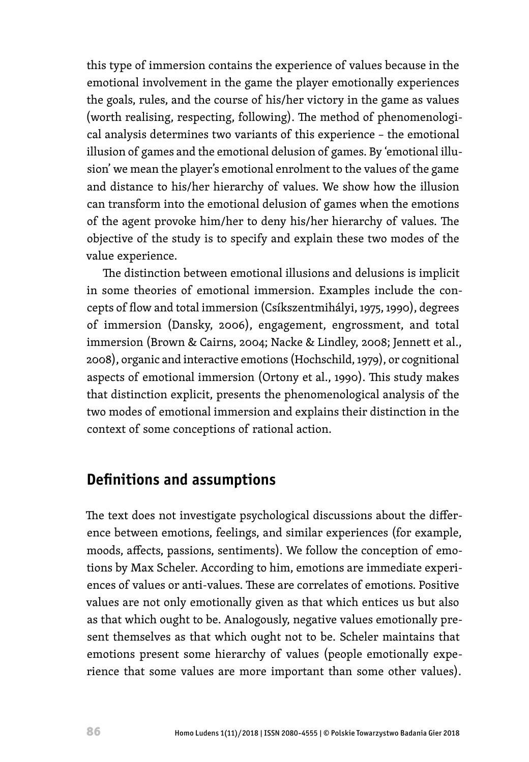this type of immersion contains the experience of values because in the emotional involvement in the game the player emotionally experiences the goals, rules, and the course of his/her victory in the game as values (worth realising, respecting, following). The method of phenomenological analysis determines two variants of this experience – the emotional illusion of games and the emotional delusion of games. By 'emotional illusion' we mean the player's emotional enrolment to the values of the game and distance to his/her hierarchy of values. We show how the illusion can transform into the emotional delusion of games when the emotions of the agent provoke him/her to deny his/her hierarchy of values. The objective of the study is to specify and explain these two modes of the value experience.

The distinction between emotional illusions and delusions is implicit in some theories of emotional immersion. Examples include the concepts of flow and total immersion (Csíkszentmihályi, 1975, 1990), degrees of immersion (Dansky, 2006), engagement, engrossment, and total immersion (Brown & Cairns, 2004; Nacke & Lindley, 2008; Jennett et al., 2008), organic and interactive emotions (Hochschild, 1979), or cognitional aspects of emotional immersion (Ortony et al., 1990). This study makes that distinction explicit, presents the phenomenological analysis of the two modes of emotional immersion and explains their distinction in the context of some conceptions of rational action.

#### **Definitions and assumptions**

The text does not investigate psychological discussions about the difference between emotions, feelings, and similar experiences (for example, moods, affects, passions, sentiments). We follow the conception of emotions by Max Scheler. According to him, emotions are immediate experiences of values or anti-values. These are correlates of emotions. Positive values are not only emotionally given as that which entices us but also as that which ought to be. Analogously, negative values emotionally present themselves as that which ought not to be. Scheler maintains that emotions present some hierarchy of values (people emotionally experience that some values are more important than some other values).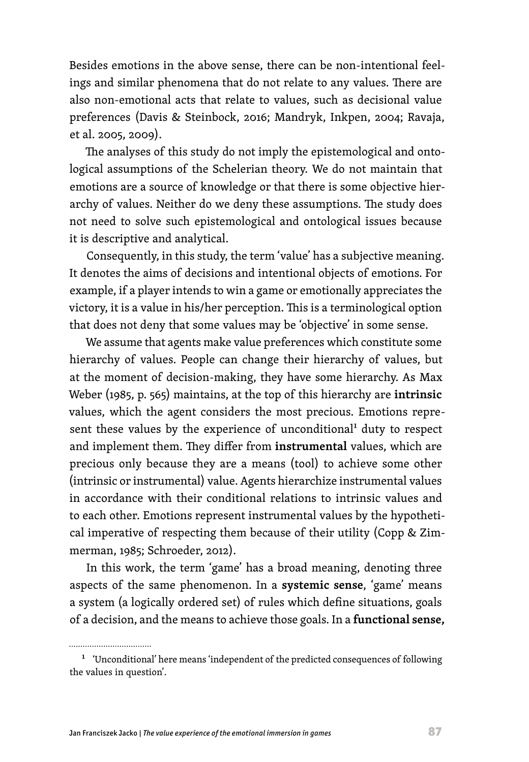Besides emotions in the above sense, there can be non-intentional feelings and similar phenomena that do not relate to any values. There are also non-emotional acts that relate to values, such as decisional value preferences (Davis & Steinbock, 2016; Mandryk, Inkpen, 2004; Ravaja, et al. 2005, 2009).

The analyses of this study do not imply the epistemological and ontological assumptions of the Schelerian theory. We do not maintain that emotions are a source of knowledge or that there is some objective hierarchy of values. Neither do we deny these assumptions. The study does not need to solve such epistemological and ontological issues because it is descriptive and analytical.

Consequently, in this study, the term 'value' has a subjective meaning. It denotes the aims of decisions and intentional objects of emotions. For example, if a player intends to win a game or emotionally appreciates the victory, it is a value in his/her perception. This is a terminological option that does not deny that some values may be 'objective' in some sense.

We assume that agents make value preferences which constitute some hierarchy of values. People can change their hierarchy of values, but at the moment of decision-making, they have some hierarchy. As Max Weber (1985, p. 565) maintains, at the top of this hierarchy are **intrinsic** values, which the agent considers the most precious. Emotions represent these values by the experience of unconditional<sup>1</sup> duty to respect and implement them. They differ from **instrumental** values, which are precious only because they are a means (tool) to achieve some other (intrinsic or instrumental) value. Agents hierarchize instrumental values in accordance with their conditional relations to intrinsic values and to each other. Emotions represent instrumental values by the hypothetical imperative of respecting them because of their utility (Copp & Zimmerman, 1985; Schroeder, 2012).

In this work, the term 'game' has a broad meaning, denoting three aspects of the same phenomenon. In a **systemic sense**, 'game' means a system (a logically ordered set) of rules which define situations, goals of a decision, and the means to achieve those goals. In a **functional sense,**

<sup>&</sup>lt;sup>1</sup> 'Unconditional' here means 'independent of the predicted consequences of following the values in question'.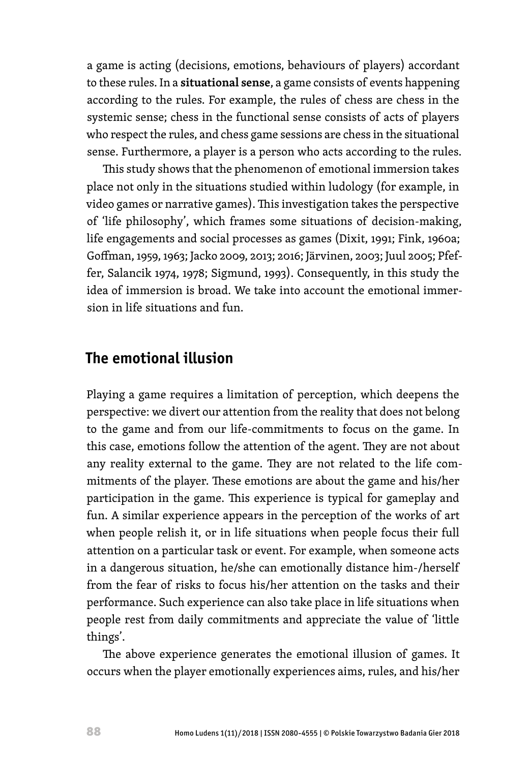a game is acting (decisions, emotions, behaviours of players) accordant to these rules. In a **situational sense**, a game consists of events happening according to the rules. For example, the rules of chess are chess in the systemic sense; chess in the functional sense consists of acts of players who respect the rules, and chess game sessions are chess in the situational sense. Furthermore, a player is a person who acts according to the rules.

This study shows that the phenomenon of emotional immersion takes place not only in the situations studied within ludology (for example, in video games or narrative games). This investigation takes the perspective of 'life philosophy', which frames some situations of decision-making, life engagements and social processes as games (Dixit, 1991; Fink, 1960a; Goffman, 1959, 1963; Jacko 2009, 2013; 2016; Järvinen, 2003; Juul 2005; Pfeffer, Salancik 1974, 1978; Sigmund, 1993). Consequently, in this study the idea of immersion is broad. We take into account the emotional immersion in life situations and fun.

## **The emotional illusion**

Playing a game requires a limitation of perception, which deepens the perspective: we divert our attention from the reality that does not belong to the game and from our life-commitments to focus on the game. In this case, emotions follow the attention of the agent. They are not about any reality external to the game. They are not related to the life commitments of the player. These emotions are about the game and his/her participation in the game. This experience is typical for gameplay and fun. A similar experience appears in the perception of the works of art when people relish it, or in life situations when people focus their full attention on a particular task or event. For example, when someone acts in a dangerous situation, he/she can emotionally distance him-/herself from the fear of risks to focus his/her attention on the tasks and their performance. Such experience can also take place in life situations when people rest from daily commitments and appreciate the value of 'little things'.

The above experience generates the emotional illusion of games. It occurs when the player emotionally experiences aims, rules, and his/her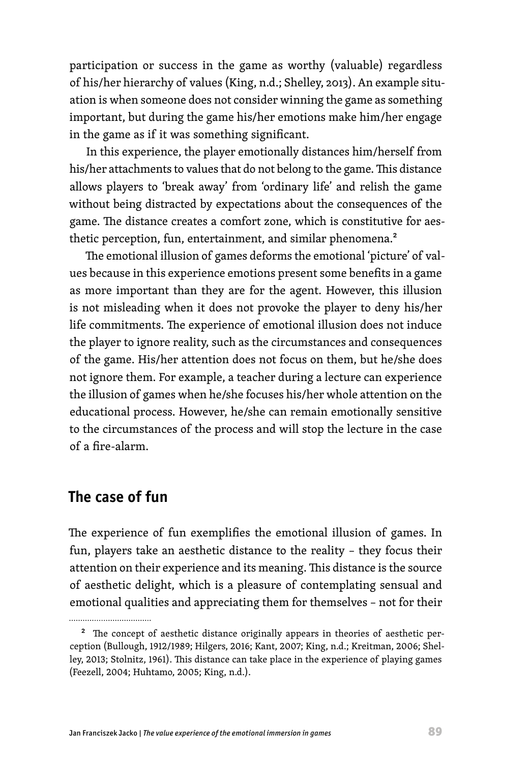participation or success in the game as worthy (valuable) regardless of his/her hierarchy of values (King, n.d.; Shelley, 2013). An example situation is when someone does not consider winning the game as something important, but during the game his/her emotions make him/her engage in the game as if it was something significant.

In this experience, the player emotionally distances him/herself from his/her attachments to values that do not belong to the game. This distance allows players to 'break away' from 'ordinary life' and relish the game without being distracted by expectations about the consequences of the game. The distance creates a comfort zone, which is constitutive for aesthetic perception, fun, entertainment, and similar phenomena.<sup>2</sup>

The emotional illusion of games deforms the emotional 'picture' of values because in this experience emotions present some benefits in a game as more important than they are for the agent. However, this illusion is not misleading when it does not provoke the player to deny his/her life commitments. The experience of emotional illusion does not induce the player to ignore reality, such as the circumstances and consequences of the game. His/her attention does not focus on them, but he/she does not ignore them. For example, a teacher during a lecture can experience the illusion of games when he/she focuses his/her whole attention on the educational process. However, he/she can remain emotionally sensitive to the circumstances of the process and will stop the lecture in the case of a fire-alarm.

# **The case of fun**

The experience of fun exemplifies the emotional illusion of games. In fun, players take an aesthetic distance to the reality – they focus their attention on their experience and its meaning. This distance is the source of aesthetic delight, which is a pleasure of contemplating sensual and emotional qualities and appreciating them for themselves – not for their

<sup>&</sup>lt;sup>2</sup> The concept of aesthetic distance originally appears in theories of aesthetic perception (Bullough, 1912/1989; Hilgers, 2016; Kant, 2007; King, n.d.; Kreitman, 2006; Shelley, 2013; Stolnitz, 1961). This distance can take place in the experience of playing games (Feezell, 2004; Huhtamo, 2005; King, n.d.).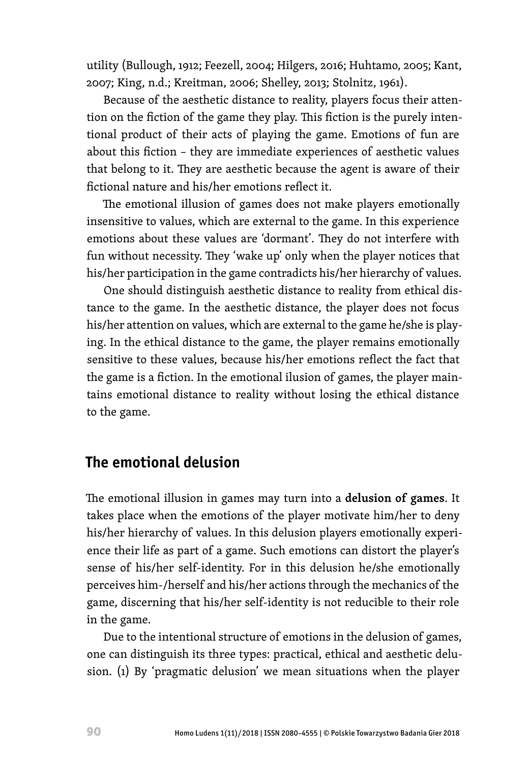utility (Bullough, 1912; Feezell, 2004; Hilgers, 2016; Huhtamo, 2005; Kant, 2007; King, n.d.; Kreitman, 2006; Shelley, 2013; Stolnitz, 1961).

Because of the aesthetic distance to reality, players focus their attention on the fiction of the game they play. This fiction is the purely intentional product of their acts of playing the game. Emotions of fun are about this fiction – they are immediate experiences of aesthetic values that belong to it. They are aesthetic because the agent is aware of their fictional nature and his/her emotions reflect it.

The emotional illusion of games does not make players emotionally insensitive to values, which are external to the game. In this experience emotions about these values are 'dormant'. They do not interfere with fun without necessity. They 'wake up' only when the player notices that his/her participation in the game contradicts his/her hierarchy of values.

One should distinguish aesthetic distance to reality from ethical distance to the game. In the aesthetic distance, the player does not focus his/her attention on values, which are external to the game he/she is playing. In the ethical distance to the game, the player remains emotionally sensitive to these values, because his/her emotions reflect the fact that the game is a fiction. In the emotional ilusion of games, the player maintains emotional distance to reality without losing the ethical distance to the game.

#### **The emotional delusion**

The emotional illusion in games may turn into a **delusion of games**. It takes place when the emotions of the player motivate him/her to deny his/her hierarchy of values. In this delusion players emotionally experience their life as part of a game. Such emotions can distort the player's sense of his/her self-identity. For in this delusion he/she emotionally perceives him-/herself and his/her actions through the mechanics of the game, discerning that his/her self-identity is not reducible to their role in the game.

Due to the intentional structure of emotions in the delusion of games, one can distinguish its three types: practical, ethical and aesthetic delusion. (1) By 'pragmatic delusion' we mean situations when the player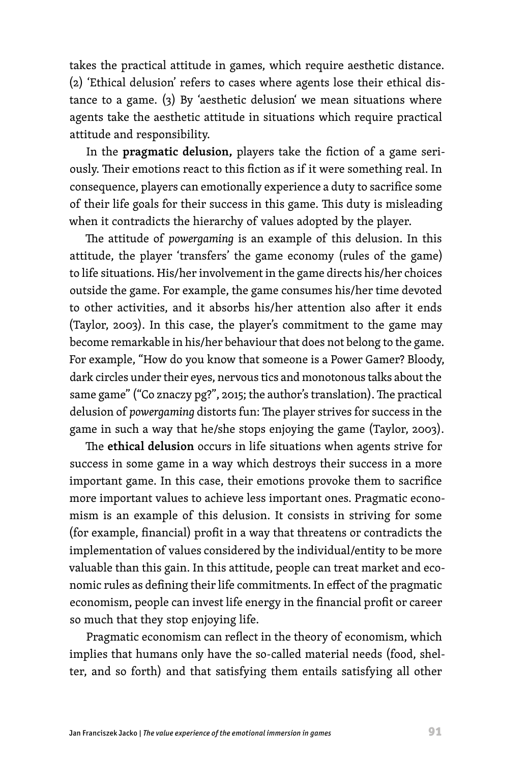takes the practical attitude in games, which require aesthetic distance. (2) 'Ethical delusion' refers to cases where agents lose their ethical distance to a game. (3) By 'aesthetic delusion' we mean situations where agents take the aesthetic attitude in situations which require practical attitude and responsibility.

In the **pragmatic delusion,** players take the fiction of a game seriously. Their emotions react to this fiction as if it were something real. In consequence, players can emotionally experience a duty to sacrifice some of their life goals for their success in this game. This duty is misleading when it contradicts the hierarchy of values adopted by the player.

The attitude of *powergaming* is an example of this delusion. In this attitude, the player 'transfers' the game economy (rules of the game) to life situations. His/her involvement in the game directs his/her choices outside the game. For example, the game consumes his/her time devoted to other activities, and it absorbs his/her attention also after it ends (Taylor, 2003). In this case, the player's commitment to the game may become remarkable in his/her behaviour that does not belong to the game. For example, "How do you know that someone is a Power Gamer? Bloody, dark circles under their eyes, nervous tics and monotonous talks about the same game" ("Co znaczy pg?", 2015; the author's translation). The practical delusion of *powergaming* distorts fun: The player strives for success in the game in such a way that he/she stops enjoying the game (Taylor, 2003).

The **ethical delusion** occurs in life situations when agents strive for success in some game in a way which destroys their success in a more important game. In this case, their emotions provoke them to sacrifice more important values to achieve less important ones. Pragmatic economism is an example of this delusion. It consists in striving for some (for example, financial) profit in a way that threatens or contradicts the implementation of values considered by the individual/entity to be more valuable than this gain. In this attitude, people can treat market and economic rules as defining their life commitments. In effect of the pragmatic economism, people can invest life energy in the financial profit or career so much that they stop enjoying life.

Pragmatic economism can reflect in the theory of economism, which implies that humans only have the so-called material needs (food, shelter, and so forth) and that satisfying them entails satisfying all other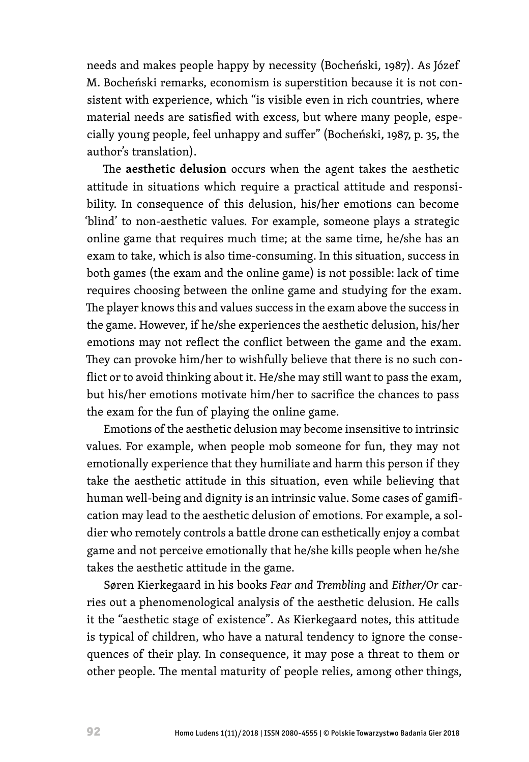needs and makes people happy by necessity (Bocheński, 1987). As Józef M. Bocheński remarks, economism is superstition because it is not consistent with experience, which "is visible even in rich countries, where material needs are satisfied with excess, but where many people, especially young people, feel unhappy and suffer" (Bocheński, 1987, p. 35, the author's translation).

The **aesthetic delusion** occurs when the agent takes the aesthetic attitude in situations which require a practical attitude and responsibility. In consequence of this delusion, his/her emotions can become 'blind' to non-aesthetic values. For example, someone plays a strategic online game that requires much time; at the same time, he/she has an exam to take, which is also time-consuming. In this situation, success in both games (the exam and the online game) is not possible: lack of time requires choosing between the online game and studying for the exam. The player knows this and values success in the exam above the success in the game. However, if he/she experiences the aesthetic delusion, his/her emotions may not reflect the conflict between the game and the exam. They can provoke him/her to wishfully believe that there is no such conflict or to avoid thinking about it. He/she may still want to pass the exam, but his/her emotions motivate him/her to sacrifice the chances to pass the exam for the fun of playing the online game.

Emotions of the aesthetic delusion may become insensitive to intrinsic values. For example, when people mob someone for fun, they may not emotionally experience that they humiliate and harm this person if they take the aesthetic attitude in this situation, even while believing that human well-being and dignity is an intrinsic value. Some cases of gamification may lead to the aesthetic delusion of emotions. For example, a soldier who remotely controls a battle drone can esthetically enjoy a combat game and not perceive emotionally that he/she kills people when he/she takes the aesthetic attitude in the game.

Søren Kierkegaard in his books *Fear and Trembling* and *Either/Or* carries out a phenomenological analysis of the aesthetic delusion. He calls it the "aesthetic stage of existence". As Kierkegaard notes, this attitude is typical of children, who have a natural tendency to ignore the consequences of their play. In consequence, it may pose a threat to them or other people. The mental maturity of people relies, among other things,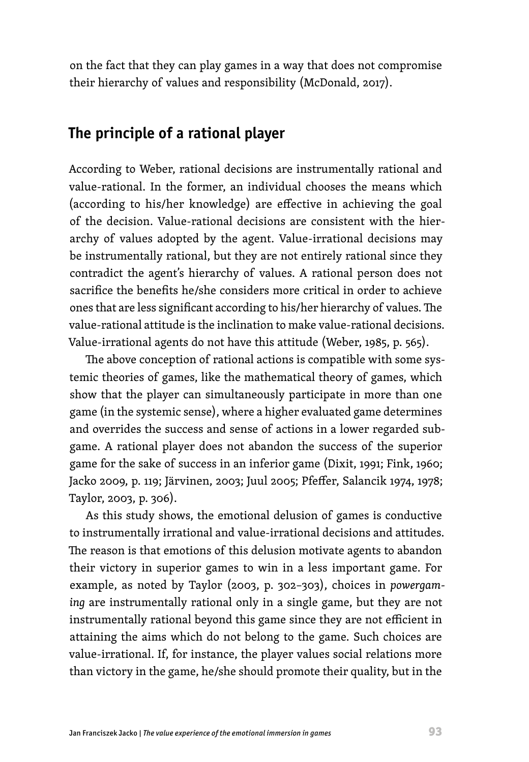on the fact that they can play games in a way that does not compromise their hierarchy of values and responsibility (McDonald, 2017).

#### **The principle of a rational player**

According to Weber, rational decisions are instrumentally rational and value-rational. In the former, an individual chooses the means which (according to his/her knowledge) are effective in achieving the goal of the decision. Value-rational decisions are consistent with the hierarchy of values adopted by the agent. Value-irrational decisions may be instrumentally rational, but they are not entirely rational since they contradict the agent's hierarchy of values. A rational person does not sacrifice the benefits he/she considers more critical in order to achieve ones that are less significant according to his/her hierarchy of values. The value-rational attitude is the inclination to make value-rational decisions. Value-irrational agents do not have this attitude (Weber, 1985, p. 565).

The above conception of rational actions is compatible with some systemic theories of games, like the mathematical theory of games, which show that the player can simultaneously participate in more than one game (in the systemic sense), where a higher evaluated game determines and overrides the success and sense of actions in a lower regarded subgame. A rational player does not abandon the success of the superior game for the sake of success in an inferior game (Dixit, 1991; Fink, 1960; Jacko 2009, p. 119; Järvinen, 2003; Juul 2005; Pfeffer, Salancik 1974, 1978; Taylor, 2003, p. 306).

As this study shows, the emotional delusion of games is conductive to instrumentally irrational and value-irrational decisions and attitudes. The reason is that emotions of this delusion motivate agents to abandon their victory in superior games to win in a less important game. For example, as noted by Taylor (2003, p. 302–303), choices in *powergaming* are instrumentally rational only in a single game, but they are not instrumentally rational beyond this game since they are not efficient in attaining the aims which do not belong to the game. Such choices are value-irrational. If, for instance, the player values social relations more than victory in the game, he/she should promote their quality, but in the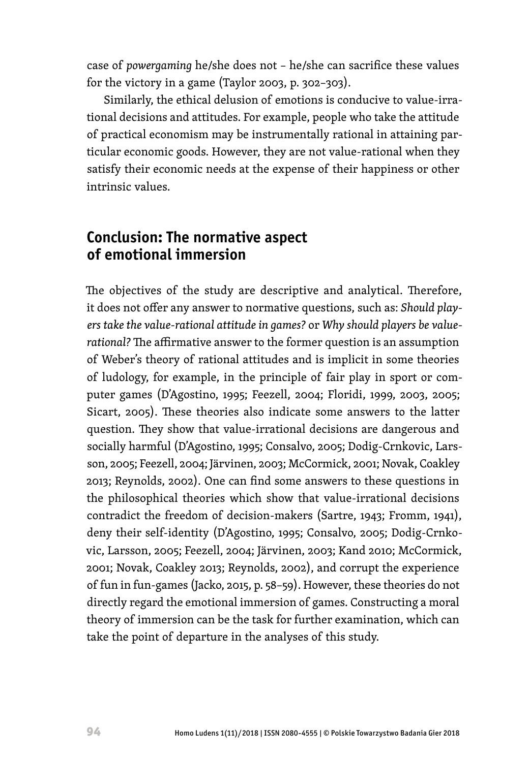case of *powergaming* he/she does not – he/she can sacrifice these values for the victory in a game (Taylor 2003, p. 302–303).

Similarly, the ethical delusion of emotions is conducive to value-irrational decisions and attitudes. For example, people who take the attitude of practical economism may be instrumentally rational in attaining particular economic goods. However, they are not value-rational when they satisfy their economic needs at the expense of their happiness or other intrinsic values.

# **Conclusion: The normative aspect of emotional immersion**

The objectives of the study are descriptive and analytical. Therefore, it does not offer any answer to normative questions, such as: *Should players take the value-rational attitude in games?* or *Why should players be valuerational?* The affirmative answer to the former question is an assumption of Weber's theory of rational attitudes and is implicit in some theories of ludology, for example, in the principle of fair play in sport or computer games (D'Agostino, 1995; Feezell, 2004; Floridi, 1999, 2003, 2005; Sicart, 2005). These theories also indicate some answers to the latter question. They show that value-irrational decisions are dangerous and socially harmful (D'Agostino, 1995; Consalvo, 2005; Dodig-Crnkovic, Larsson, 2005; Feezell, 2004; Järvinen, 2003; McCormick, 2001; Novak, Coakley 2013; Reynolds, 2002). One can find some answers to these questions in the philosophical theories which show that value-irrational decisions contradict the freedom of decision-makers (Sartre, 1943; Fromm, 1941), deny their self-identity (D'Agostino, 1995; Consalvo, 2005; Dodig-Crnkovic, Larsson, 2005; Feezell, 2004; Järvinen, 2003; Kand 2010; McCormick, 2001; Novak, Coakley 2013; Reynolds, 2002), and corrupt the experience of fun in fun-games (Jacko, 2015, p. 58–59). However, these theories do not directly regard the emotional immersion of games. Constructing a moral theory of immersion can be the task for further examination, which can take the point of departure in the analyses of this study.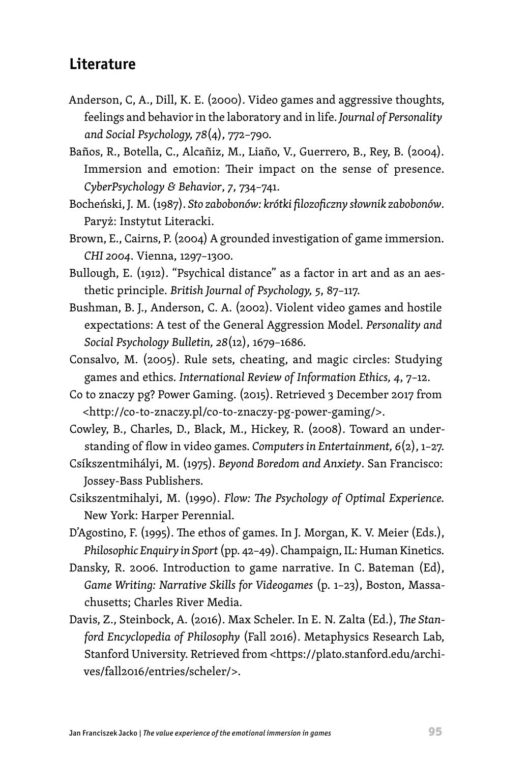## **Literature**

- Anderson, C, A., Dill, K. E. (2000). Video games and aggressive thoughts, feelings and behavior in the laboratory and in life. *Journal of Personality and Social Psychology, 78*(4), 772–790.
- Baños, R., Botella, C., Alcañiz, M., Liaño, V., Guerrero, B., Rey, B. (2004). Immersion and emotion: Their impact on the sense of presence. *CyberPsychology & Behavior*, *7*, 734–741.
- Bocheński, J. M. (1987). *Sto zabobonów: krótki filozoficzny słownik zabobonów*. Paryż: Instytut Literacki.
- Brown, E., Cairns, P. (2004) A grounded investigation of game immersion. *CHI 2004*. Vienna, 1297–1300.
- Bullough, E. (1912). "Psychical distance" as a factor in art and as an aesthetic principle. *British Journal of Psychology, 5*, 87–117.
- Bushman, B. J., Anderson, C. A. (2002). Violent video games and hostile expectations: A test of the General Aggression Model. *Personality and Social Psychology Bulletin, 28*(12), 1679–1686.
- Consalvo, M. (2005). Rule sets, cheating, and magic circles: Studying games and ethics. *International Review of Information Ethics, 4*, 7–12.
- Co to znaczy pg? Power Gaming. (2015). Retrieved 3 December 2017 from <[http://co-to-znaczy.pl/co-to-znaczy-pg-power-gaming/>](http://co-to-znaczy.pl/co-to-znaczy-pg-power-gaming/).
- Cowley, B., Charles, D., Black, M., Hickey, R. (2008). Toward an understanding of flow in video games. *Computers in Entertainment, 6*(2), 1–27.
- Csíkszentmihályi, M. (1975). *Beyond Boredom and Anxiety*. San Francisco: Jossey-Bass Publishers.
- Csikszentmihalyi, M. (1990). *Flow: The Psychology of Optimal Experience.* New York: Harper Perennial.
- D'Agostino, F. (1995). The ethos of games. In J. Morgan, K. V. Meier (Eds.), *Philosophic Enquiry in Sport* (pp. 42–49). Champaign, IL: Human Kinetics.
- Dansky, R. 2006. Introduction to game narrative. In C. Bateman (Ed), *Game Writing: Narrative Skills for Videogames* (p. 1–23), Boston, Massachusetts; Charles River Media.
- Davis, Z., Steinbock, A. (2016). Max Scheler. In E. N. Zalta (Ed.), *The Stanford Encyclopedia of Philosophy* (Fall 2016). Metaphysics Research Lab, Stanford University. Retrieved from [<https://plato.stanford.edu/archi](https://plato.stanford.edu/archives/fall2016/entries/scheler/)[ves/fall2016/entries/scheler/](https://plato.stanford.edu/archives/fall2016/entries/scheler/)>.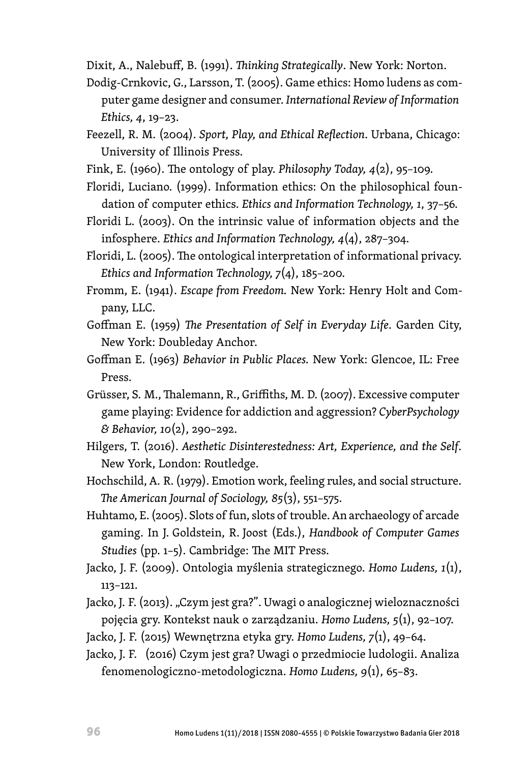Dixit, A., Nalebuff, B. (1991). *Thinking Strategically*. New York: Norton.

- Dodig-Crnkovic, G., Larsson, T. (2005). Game ethics: Homo ludens as computer game designer and consumer. *International Review of Information Ethics, 4*, 19–23.
- Feezell, R. M. (2004). *Sport, Play, and Ethical Reflection*. Urbana, Chicago: University of Illinois Press.
- Fink, E. (1960). The ontology of play. *Philosophy Today, 4*(2), 95–109.
- Floridi, Luciano. (1999). Information ethics: On the philosophical foundation of computer ethics. *Ethics and Information Technology, 1*, 37–56.
- Floridi L. (2003). On the intrinsic value of information objects and the infosphere. *Ethics and Information Technology, 4*(4), 287–304.
- Floridi, L. (2005). The ontological interpretation of informational privacy. *Ethics and Information Technology, 7*(4), 185–200.
- Fromm, E. (1941). *Escape from Freedom.* New York: Henry Holt and Company, LLC.
- Goffman E. (1959) *The Presentation of Self in Everyday Life*. Garden City, New York: Doubleday Anchor.
- Goffman E. (1963) *Behavior in Public Places.* New York: Glencoe, IL: Free Press.
- Grüsser, S. M., Thalemann, R., Griffiths, M. D. (2007). Excessive computer game playing: Evidence for addiction and aggression? *CyberPsychology & Behavior, 10*(2), 290–292.
- Hilgers, T. (2016). *Aesthetic Disinterestedness: Art, Experience, and the Self*. New York, London: Routledge.
- Hochschild, A. R. (1979). Emotion work, feeling rules, and social structure. *The American Journal of Sociology, 85*(3), 551–575.
- Huhtamo, E. (2005). Slots of fun, slots of trouble. An archaeology of arcade gaming. In J. Goldstein, R. Joost (Eds.), *Handbook of Computer Games Studies* (pp. 1–5). Cambridge: The MIT Press.
- Jacko, J. F. (2009). Ontologia myślenia strategicznego. *Homo Ludens, 1*(1), 113–121.
- Jacko, J. F. (2013). "Czym jest gra?". Uwagi o analogicznej wieloznaczności pojęcia gry. Kontekst nauk o zarządzaniu. *Homo Ludens, 5*(1), 92–107.
- Jacko, J. F. (2015) Wewnętrzna etyka gry. *Homo Ludens, 7*(1), 49–64.
- Jacko, J. F. (2016) Czym jest gra? Uwagi o przedmiocie ludologii. Analiza fenomenologiczno-metodologiczna. *Homo Ludens, 9*(1), 65–83.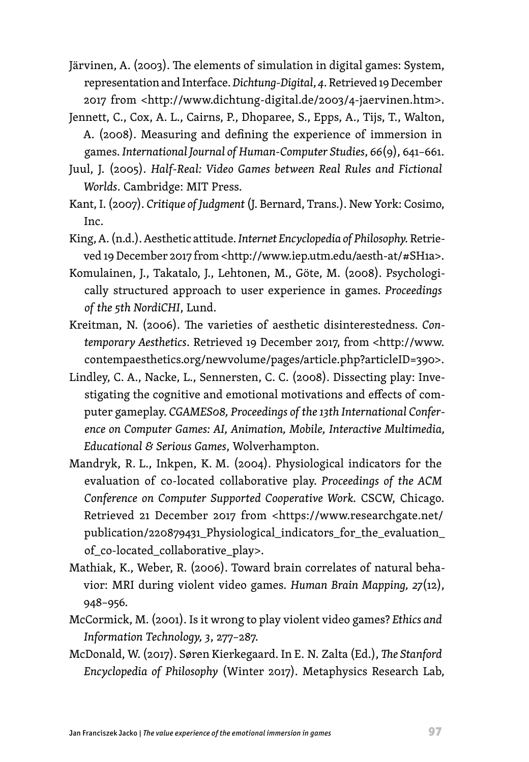- Järvinen, A. (2003). The elements of simulation in digital games: System, representation and Interface. *Dichtung-Digital*, *4*. Retrieved 19 December 2017 from <<http://www.dichtung-digital.de/2003/4-jaervinen.htm>>.
- Jennett, C., Cox, A. L., Cairns, P., Dhoparee, S., Epps, A., Tijs, T., Walton, A. (2008). Measuring and defining the experience of immersion in games. *International Journal of Human-Computer Studies*, *66*(9), 641–661.
- Juul, J. (2005). *Half-Real: Video Games between Real Rules and Fictional Worlds*. Cambridge: MIT Press.
- Kant, I. (2007). *Critique of Judgment* (J. Bernard, Trans.). New York: Cosimo, Inc.
- King, A. (n.d.). Aesthetic attitude. *Internet Encyclopedia of Philosophy.* Retrieved 19 December 2017 from <http://www.iep.utm.edu/aesth-at/#SH1a>.
- Komulainen, J., Takatalo, J., Lehtonen, M., Göte, M. (2008). Psychologically structured approach to user experience in games. *Proceedings of the 5th NordiCHI*, Lund.
- Kreitman, N. (2006). The varieties of aesthetic disinterestedness. *Contemporary Aesthetics*. Retrieved 19 December 2017, from [<http://www.](http://www.contempaesthetics.org/newvolume/pages/article.php?articleID=390) [contempaesthetics.org/newvolume/pages/article.php?articleID=390](http://www.contempaesthetics.org/newvolume/pages/article.php?articleID=390)>.
- Lindley, C. A., Nacke, L., Sennersten, C. C. (2008). Dissecting play: Investigating the cognitive and emotional motivations and effects of computer gameplay. *CGAMES08, Proceedings of the 13th International Conference on Computer Games: AI, Animation, Mobile, Interactive Multimedia, Educational & Serious Games*, Wolverhampton.
- Mandryk, R. L., Inkpen, K. M. (2004). Physiological indicators for the evaluation of co-located collaborative play. *Proceedings of the ACM Conference on Computer Supported Cooperative Work.* CSCW, Chicago. Retrieved 21 December 2017 from <[https://www.researchgate.net/](https://www.researchgate.net/publication/220879431_Physiological_indicators_for_the_evaluation_of_co-located_collaborative_play) [publication/220879431\\_Physiological\\_indicators\\_for\\_the\\_evaluation\\_](https://www.researchgate.net/publication/220879431_Physiological_indicators_for_the_evaluation_of_co-located_collaborative_play) [of\\_co-located\\_collaborative\\_play>](https://www.researchgate.net/publication/220879431_Physiological_indicators_for_the_evaluation_of_co-located_collaborative_play).
- Mathiak, K., Weber, R. (2006). Toward brain correlates of natural behavior: MRI during violent video games. *Human Brain Mapping, 27*(12), 948–956.
- McCormick, M. (2001). Is it wrong to play violent video games? *Ethics and Information Technology, 3*, 277–287.
- McDonald, W. (2017). Søren Kierkegaard. In E. N. Zalta (Ed.), *The Stanford Encyclopedia of Philosophy* (Winter 2017). Metaphysics Research Lab,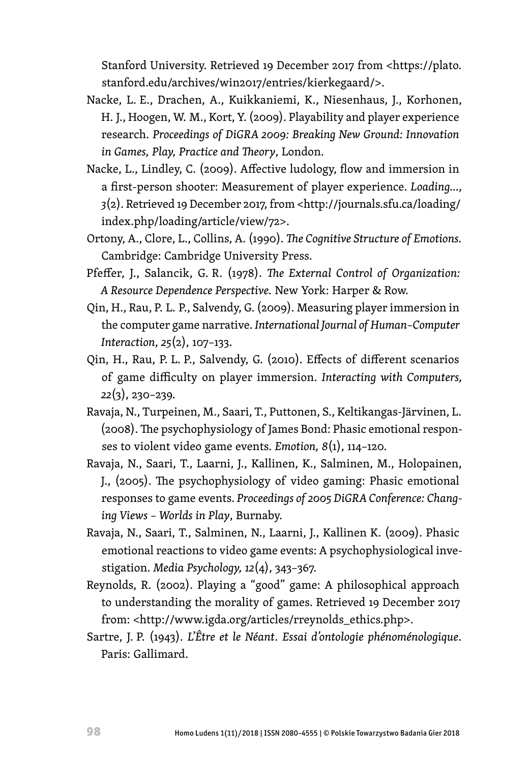Stanford University. Retrieved 19 December 2017 from [<https://plato.](https://plato.stanford.edu/archives/win2017/entries/kierkegaard/) [stanford.edu/archives/win2017/entries/kierkegaard/](https://plato.stanford.edu/archives/win2017/entries/kierkegaard/)>.

- Nacke, L. E., Drachen, A., Kuikkaniemi, K., Niesenhaus, J., Korhonen, H. J., Hoogen, W. M., Kort, Y. (2009). Playability and player experience research. *Proceedings of DiGRA 2009: Breaking New Ground: Innovation in Games, Play, Practice and Theory*, London.
- Nacke, L., Lindley, C. (2009). Affective ludology, flow and immersion in a first-person shooter: Measurement of player experience. *Loading…, 3*(2). Retrieved 19 December 2017, from [<http://journals.sfu.ca/loading/](http://journals.sfu.ca/loading/index.php/loading/article/view/72) [index.php/loading/article/view/72](http://journals.sfu.ca/loading/index.php/loading/article/view/72)>.
- Ortony, A., Clore, L., Collins, A. (1990). *The Cognitive Structure of Emotions.* Cambridge: Cambridge University Press.
- Pfeffer, J., Salancik, G. R. (1978). *The External Control of Organization: A Resource Dependence Perspective.* New York: Harper & Row.
- Qin, H., Rau, P. L. P., Salvendy, G. (2009). Measuring player immersion in the computer game narrative. *International Journal of Human–Computer Interaction*, *25*(2), 107–133.
- Qin, H., Rau, P. L. P., Salvendy, G. (2010). Effects of different scenarios of game difficulty on player immersion. *Interacting with Computers, 22*(3), 230–239.
- Ravaja, N., Turpeinen, M., Saari, T., Puttonen, S., Keltikangas-Järvinen, L. (2008). The psychophysiology of James Bond: Phasic emotional responses to violent video game events. *Emotion, 8*(1), 114–120.
- Ravaja, N., Saari, T., Laarni, J., Kallinen, K., Salminen, M., Holopainen, J., (2005). The psychophysiology of video gaming: Phasic emotional responses to game events. *Proceedings of 2005 DiGRA Conference: Changing Views – Worlds in Play*, Burnaby.
- Ravaja, N., Saari, T., Salminen, N., Laarni, J., Kallinen K. (2009). Phasic emotional reactions to video game events: A psychophysiological investigation. *Media Psychology, 12*(4), 343–367.
- Reynolds, R. (2002). Playing a "good" game: A philosophical approach to understanding the morality of games. Retrieved 19 December 2017 from: <[http://www.igda.org/articles/rreynolds\\_ethics.php>](http://www.igda.org/articles/rreynolds_ethics.php).
- Sartre, J. P. (1943). *L'Être et le Néant*. *Essai d'ontologie phénoménologique*. Paris: Gallimard.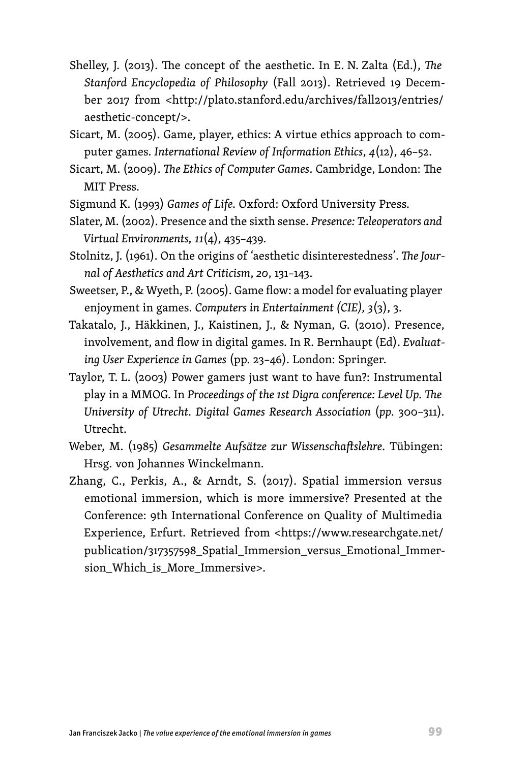- Shelley, J. (2013). The concept of the aesthetic. In E. N. Zalta (Ed.), *The Stanford Encyclopedia of Philosophy* (Fall 2013). Retrieved 19 December 2017 from [<http://plato.stanford.edu/archives/fall2013/entries/](http://plato.stanford.edu/archives/fall2013/entries/aesthetic-concept/) [aesthetic-concept/>](http://plato.stanford.edu/archives/fall2013/entries/aesthetic-concept/).
- Sicart, M. (2005). Game, player, ethics: A virtue ethics approach to computer games. *International Review of Information Ethics*, *4*(12), 46–52.
- Sicart, M. (2009). *The Ethics of Computer Games*. Cambridge, London: The MIT Press.
- Sigmund K. (1993) *Games of Life.* Oxford: Oxford University Press.
- Slater, M. (2002). Presence and the sixth sense. *Presence: Teleoperators and Virtual Environments, 11*(4), 435–439.
- Stolnitz, J. (1961). On the origins of 'aesthetic disinterestedness'. *The Journal of Aesthetics and Art Criticism*, *20*, 131–143.
- Sweetser, P., & Wyeth, P. (2005). Game flow: a model for evaluating player enjoyment in games. *Computers in Entertainment (CIE), 3*(3), 3.
- Takatalo, J., Häkkinen, J., Kaistinen, J., & Nyman, G. (2010). Presence, involvement, and flow in digital games. In R. Bernhaupt (Ed). *Evaluating User Experience in Games* (pp. 23–46). London: Springer.
- Taylor, T. L. (2003) Power gamers just want to have fun?: Instrumental play in a MMOG. In *Proceedings of the 1st Digra conference: Level Up. The University of Utrecht. Digital Games Research Association* (*pp.* 300–311)*.*  Utrecht.
- Weber, M. (1985) *Gesammelte Aufsätze zur Wissenschaftslehre*. Tübingen: Hrsg. von Johannes Winckelmann.
- Zhang, C., Perkis, A., & Arndt, S. (2017). Spatial immersion versus emotional immersion, which is more immersive? Presented at the Conference: 9th International Conference on Quality of Multimedia Experience, Erfurt. Retrieved from <[https://www.researchgate.net/](https://www.researchgate.net/publication/317357598_Spatial_Immersion_versus_Emotional_Immersion_Which_is_More_Immersive) [publication/317357598\\_Spatial\\_Immersion\\_versus\\_Emotional\\_Immer](https://www.researchgate.net/publication/317357598_Spatial_Immersion_versus_Emotional_Immersion_Which_is_More_Immersive)[sion\\_Which\\_is\\_More\\_Immersive](https://www.researchgate.net/publication/317357598_Spatial_Immersion_versus_Emotional_Immersion_Which_is_More_Immersive)>.